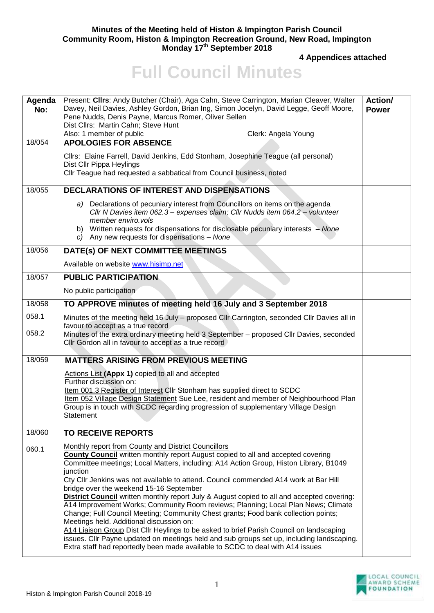## **Minutes of the Meeting held of Histon & Impington Parish Council Community Room, Histon & Impington Recreation Ground, New Road, Impington Monday 17th September 2018**

**4 Appendices attached** 

## **Full Council Minutes**

| Agenda<br>No: | Present: Clirs: Andy Butcher (Chair), Aga Cahn, Steve Carrington, Marian Cleaver, Walter<br>Davey, Neil Davies, Ashley Gordon, Brian Ing, Simon Jocelyn, David Legge, Geoff Moore,<br>Pene Nudds, Denis Payne, Marcus Romer, Oliver Sellen<br>Dist Cllrs: Martin Cahn; Steve Hunt<br>Also: 1 member of public<br>Clerk: Angela Young                                                                                                                                                                                                                                                                                                                                                                                                                                                                                                                                                                                                                                                         | Action/<br><b>Power</b> |
|---------------|----------------------------------------------------------------------------------------------------------------------------------------------------------------------------------------------------------------------------------------------------------------------------------------------------------------------------------------------------------------------------------------------------------------------------------------------------------------------------------------------------------------------------------------------------------------------------------------------------------------------------------------------------------------------------------------------------------------------------------------------------------------------------------------------------------------------------------------------------------------------------------------------------------------------------------------------------------------------------------------------|-------------------------|
| 18/054        | <b>APOLOGIES FOR ABSENCE</b>                                                                                                                                                                                                                                                                                                                                                                                                                                                                                                                                                                                                                                                                                                                                                                                                                                                                                                                                                                 |                         |
|               | Cllrs: Elaine Farrell, David Jenkins, Edd Stonham, Josephine Teague (all personal)<br>Dist Cllr Pippa Heylings<br>CIIr Teague had requested a sabbatical from Council business, noted                                                                                                                                                                                                                                                                                                                                                                                                                                                                                                                                                                                                                                                                                                                                                                                                        |                         |
| 18/055        | <b>DECLARATIONS OF INTEREST AND DISPENSATIONS</b>                                                                                                                                                                                                                                                                                                                                                                                                                                                                                                                                                                                                                                                                                                                                                                                                                                                                                                                                            |                         |
|               | a) Declarations of pecuniary interest from Councillors on items on the agenda<br>CIIr N Davies item 062.3 - expenses claim; CIIr Nudds item 064.2 - volunteer<br>member enviro.vols<br>b) Written requests for dispensations for disclosable pecuniary interests – None<br>c) Any new requests for dispensations - None                                                                                                                                                                                                                                                                                                                                                                                                                                                                                                                                                                                                                                                                      |                         |
| 18/056        | DATE(s) OF NEXT COMMITTEE MEETINGS                                                                                                                                                                                                                                                                                                                                                                                                                                                                                                                                                                                                                                                                                                                                                                                                                                                                                                                                                           |                         |
|               | Available on website www.hisimp.net                                                                                                                                                                                                                                                                                                                                                                                                                                                                                                                                                                                                                                                                                                                                                                                                                                                                                                                                                          |                         |
| 18/057        | <b>PUBLIC PARTICIPATION</b>                                                                                                                                                                                                                                                                                                                                                                                                                                                                                                                                                                                                                                                                                                                                                                                                                                                                                                                                                                  |                         |
|               | No public participation                                                                                                                                                                                                                                                                                                                                                                                                                                                                                                                                                                                                                                                                                                                                                                                                                                                                                                                                                                      |                         |
| 18/058        | TO APPROVE minutes of meeting held 16 July and 3 September 2018                                                                                                                                                                                                                                                                                                                                                                                                                                                                                                                                                                                                                                                                                                                                                                                                                                                                                                                              |                         |
| 058.1         | Minutes of the meeting held 16 July - proposed Cllr Carrington, seconded Cllr Davies all in<br>favour to accept as a true record                                                                                                                                                                                                                                                                                                                                                                                                                                                                                                                                                                                                                                                                                                                                                                                                                                                             |                         |
| 058.2         | Minutes of the extra ordinary meeting held 3 September - proposed Cllr Davies, seconded<br>Cllr Gordon all in favour to accept as a true record                                                                                                                                                                                                                                                                                                                                                                                                                                                                                                                                                                                                                                                                                                                                                                                                                                              |                         |
| 18/059        | <b>MATTERS ARISING FROM PREVIOUS MEETING</b>                                                                                                                                                                                                                                                                                                                                                                                                                                                                                                                                                                                                                                                                                                                                                                                                                                                                                                                                                 |                         |
|               | Actions List (Appx 1) copied to all and accepted                                                                                                                                                                                                                                                                                                                                                                                                                                                                                                                                                                                                                                                                                                                                                                                                                                                                                                                                             |                         |
|               | Further discussion on:<br>Item 001.3 Register of Interest Cllr Stonham has supplied direct to SCDC<br>Item 052 Village Design Statement Sue Lee, resident and member of Neighbourhood Plan<br>Group is in touch with SCDC regarding progression of supplementary Village Design<br>Statement                                                                                                                                                                                                                                                                                                                                                                                                                                                                                                                                                                                                                                                                                                 |                         |
| 18/060        | <b>TO RECEIVE REPORTS</b>                                                                                                                                                                                                                                                                                                                                                                                                                                                                                                                                                                                                                                                                                                                                                                                                                                                                                                                                                                    |                         |
| 060.1         | Monthly report from County and District Councillors<br><b>County Council</b> written monthly report August copied to all and accepted covering<br>Committee meetings; Local Matters, including: A14 Action Group, Histon Library, B1049<br>junction<br>Cty Cllr Jenkins was not available to attend. Council commended A14 work at Bar Hill<br>bridge over the weekend 15-16 September<br><b>District Council</b> written monthly report July & August copied to all and accepted covering:<br>A14 Improvement Works; Community Room reviews; Planning; Local Plan News; Climate<br>Change; Full Council Meeting; Community Chest grants; Food bank collection points;<br>Meetings held. Additional discussion on:<br>A14 Liaison Group Dist Cllr Heylings to be asked to brief Parish Council on landscaping<br>issues. Cllr Payne updated on meetings held and sub groups set up, including landscaping.<br>Extra staff had reportedly been made available to SCDC to deal with A14 issues |                         |

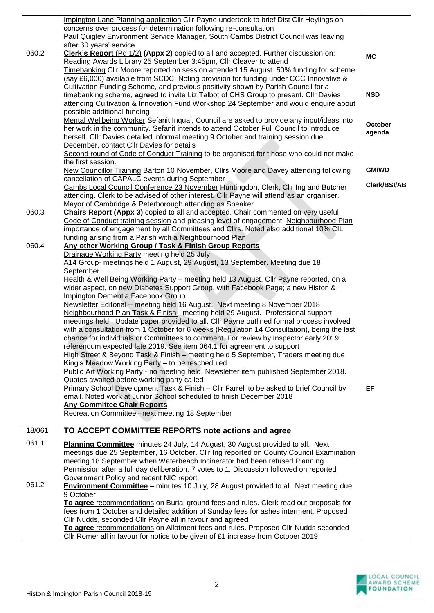| 060.2  | Impington Lane Planning application Cllr Payne undertook to brief Dist Cllr Heylings on<br>concerns over process for determination following re-consultation<br>Paul Quigley Environment Service Manager, South Cambs District Council was leaving<br>after 30 years' service<br>Clerk's Report (Pg 1/2) (Appx 2) copied to all and accepted. Further discussion on:<br>Reading Awards Library 25 September 3:45pm, Cllr Cleaver to attend<br>Timebanking Cllr Moore reported on session attended 15 August. 50% funding for scheme<br>(say £6,000) available from SCDC. Noting provision for funding under CCC Innovative &<br>Cultivation Funding Scheme, and previous positivity shown by Parish Council for a<br>timebanking scheme, agreed to invite Liz Talbot of CHS Group to present. Cllr Davies<br>attending Cultivation & Innovation Fund Workshop 24 September and would enquire about<br>possible additional funding                                                                                                                                                                                                                                                                                                                                                                                                                                                                                                                                                           | <b>MC</b><br><b>NSD</b> |
|--------|---------------------------------------------------------------------------------------------------------------------------------------------------------------------------------------------------------------------------------------------------------------------------------------------------------------------------------------------------------------------------------------------------------------------------------------------------------------------------------------------------------------------------------------------------------------------------------------------------------------------------------------------------------------------------------------------------------------------------------------------------------------------------------------------------------------------------------------------------------------------------------------------------------------------------------------------------------------------------------------------------------------------------------------------------------------------------------------------------------------------------------------------------------------------------------------------------------------------------------------------------------------------------------------------------------------------------------------------------------------------------------------------------------------------------------------------------------------------------------------------|-------------------------|
|        | Mental Wellbeing Worker Sefanit Inquai, Council are asked to provide any input/ideas into<br>her work in the community. Sefanit intends to attend October Full Council to introduce<br>herself. Cllr Davies detailed informal meeting 9 October and training session due<br>December, contact Cllr Davies for details<br>Second round of Code of Conduct Training to be organised for t hose who could not make<br>the first session.                                                                                                                                                                                                                                                                                                                                                                                                                                                                                                                                                                                                                                                                                                                                                                                                                                                                                                                                                                                                                                                       | October<br>agenda       |
|        | New Councillor Training Barton 10 November, Cllrs Moore and Davey attending following                                                                                                                                                                                                                                                                                                                                                                                                                                                                                                                                                                                                                                                                                                                                                                                                                                                                                                                                                                                                                                                                                                                                                                                                                                                                                                                                                                                                       | <b>GM/WD</b>            |
| 060.3  | cancellation of CAPALC events during September<br>Cambs Local Council Conference 23 November Huntingdon, Clerk, Cllr Ing and Butcher<br>attending. Clerk to be advised of other interest. Cllr Payne will attend as an organiser.<br>Mayor of Cambridge & Peterborough attending as Speaker<br><b>Chairs Report (Appx 3)</b> copied to all and accepted. Chair commented on very useful                                                                                                                                                                                                                                                                                                                                                                                                                                                                                                                                                                                                                                                                                                                                                                                                                                                                                                                                                                                                                                                                                                     | Clerk/BSI/AB            |
|        | Code of Conduct training session and pleasing level of engagement. Neighbourhood Plan -<br>importance of engagement by all Committees and Cllrs. Noted also additional 10% CIL                                                                                                                                                                                                                                                                                                                                                                                                                                                                                                                                                                                                                                                                                                                                                                                                                                                                                                                                                                                                                                                                                                                                                                                                                                                                                                              |                         |
|        | funding arising from a Parish with a Neighbourhood Plan                                                                                                                                                                                                                                                                                                                                                                                                                                                                                                                                                                                                                                                                                                                                                                                                                                                                                                                                                                                                                                                                                                                                                                                                                                                                                                                                                                                                                                     |                         |
| 060.4  | Any other Working Group / Task & Finish Group Reports<br>Drainage Working Party meeting held 25 July<br>A14 Group- meetings held 1 August, 29 August, 13 September. Meeting due 18<br>September<br>Health & Well Being Working Party - meeting held 13 August. Cllr Payne reported, on a<br>wider aspect, on new Diabetes Support Group, with Facebook Page; a new Histon &<br>Impington Dementia Facebook Group<br>Newsletter Editorial - meeting held 16 August. Next meeting 8 November 2018<br>Neighbourhood Plan Task & Finish - meeting held 29 August. Professional support<br>meetings held. Update paper provided to all. Cllr Payne outlined formal process involved<br>with a consultation from 1 October for 6 weeks (Regulation 14 Consultation), being the last<br>chance for individuals or Committees to comment. For review by Inspector early 2019;<br>referendum expected late 2019. See item 064.1 for agreement to support<br>High Street & Beyond Task & Finish - meeting held 5 September, Traders meeting due<br>King's Meadow Working Party - to be rescheduled<br>Public Art Working Party - no meeting held. Newsletter item published September 2018.<br>Quotes awaited before working party called<br>Primary School Development Task & Finish - Cllr Farrell to be asked to brief Council by<br>email. Noted work at Junior School scheduled to finish December 2018<br><b>Any Committee Chair Reports</b><br>Recreation Committee -next meeting 18 September | <b>EF</b>               |
| 18/061 | TO ACCEPT COMMITTEE REPORTS note actions and agree                                                                                                                                                                                                                                                                                                                                                                                                                                                                                                                                                                                                                                                                                                                                                                                                                                                                                                                                                                                                                                                                                                                                                                                                                                                                                                                                                                                                                                          |                         |
| 061.1  | Planning Committee minutes 24 July, 14 August, 30 August provided to all. Next<br>meetings due 25 September, 16 October. Cllr Ing reported on County Council Examination<br>meeting 18 September when Waterbeach Incinerator had been refused Planning<br>Permission after a full day deliberation. 7 votes to 1. Discussion followed on reported<br>Government Policy and recent NIC report                                                                                                                                                                                                                                                                                                                                                                                                                                                                                                                                                                                                                                                                                                                                                                                                                                                                                                                                                                                                                                                                                                |                         |
| 061.2  | <b>Environment Committee</b> – minutes 10 July, 28 August provided to all. Next meeting due<br>9 October<br>To agree recommendations on Burial ground fees and rules. Clerk read out proposals for<br>fees from 1 October and detailed addition of Sunday fees for ashes interment. Proposed<br>Cllr Nudds, seconded Cllr Payne all in favour and agreed<br>To agree recommendations on Allotment fees and rules. Proposed Cllr Nudds seconded<br>Cllr Romer all in favour for notice to be given of £1 increase from October 2019                                                                                                                                                                                                                                                                                                                                                                                                                                                                                                                                                                                                                                                                                                                                                                                                                                                                                                                                                          |                         |

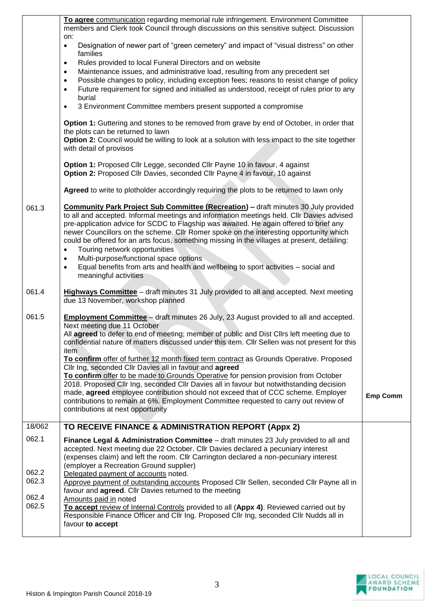|                                  | To agree communication regarding memorial rule infringement. Environment Committee<br>members and Clerk took Council through discussions on this sensitive subject. Discussion                                                                                                                                                                                                                                                                                                                                                                          |                 |
|----------------------------------|---------------------------------------------------------------------------------------------------------------------------------------------------------------------------------------------------------------------------------------------------------------------------------------------------------------------------------------------------------------------------------------------------------------------------------------------------------------------------------------------------------------------------------------------------------|-----------------|
|                                  | on:<br>Designation of newer part of "green cemetery" and impact of "visual distress" on other<br>$\bullet$<br>families                                                                                                                                                                                                                                                                                                                                                                                                                                  |                 |
|                                  | Rules provided to local Funeral Directors and on website<br>$\bullet$<br>Maintenance issues, and administrative load, resulting from any precedent set<br>$\bullet$<br>Possible changes to policy, including exception fees; reasons to resist change of policy<br>$\bullet$<br>Future requirement for signed and initialled as understood, receipt of rules prior to any<br>$\bullet$<br>burial                                                                                                                                                        |                 |
|                                  | 3 Environment Committee members present supported a compromise<br>$\bullet$                                                                                                                                                                                                                                                                                                                                                                                                                                                                             |                 |
|                                  | <b>Option 1:</b> Guttering and stones to be removed from grave by end of October, in order that<br>the plots can be returned to lawn<br>Option 2: Council would be willing to look at a solution with less impact to the site together<br>with detail of provisos                                                                                                                                                                                                                                                                                       |                 |
|                                  | Option 1: Proposed Cllr Legge, seconded Cllr Payne 10 in favour, 4 against<br>Option 2: Proposed Cllr Davies, seconded Cllr Payne 4 in favour, 10 against                                                                                                                                                                                                                                                                                                                                                                                               |                 |
|                                  | Agreed to write to plotholder accordingly requiring the plots to be returned to lawn only                                                                                                                                                                                                                                                                                                                                                                                                                                                               |                 |
| 061.3                            | <b>Community Park Project Sub Committee (Recreation) - draft minutes 30 July provided</b><br>to all and accepted. Informal meetings and information meetings held. Cllr Davies advised<br>pre-application advice for SCDC to Flagship was awaited. He again offered to brief any<br>newer Councillors on the scheme. Cllr Romer spoke on the interesting opportunity which<br>could be offered for an arts focus, something missing in the villages at present, detailing:<br>Touring network opportunities<br>$\bullet$                                |                 |
|                                  | Multi-purpose/functional space options<br>$\bullet$<br>Equal benefits from arts and health and wellbeing to sport activities - social and<br>$\bullet$<br>meaningful activities                                                                                                                                                                                                                                                                                                                                                                         |                 |
| 061.4                            | Highways Committee - draft minutes 31 July provided to all and accepted. Next meeting<br>due 13 November, workshop planned                                                                                                                                                                                                                                                                                                                                                                                                                              |                 |
| 061.5                            | <b>Employment Committee</b> - draft minutes 26 July, 23 August provided to all and accepted.<br>Next meeting due 11 October<br>All agreed to defer to end of meeting; member of public and Dist Cllrs left meeting due to<br>confidential nature of matters discussed under this item. Cllr Sellen was not present for this<br>item                                                                                                                                                                                                                     |                 |
|                                  | To confirm offer of further 12 month fixed term contract as Grounds Operative. Proposed<br>Cllr Ing, seconded Cllr Davies all in favour and agreed<br>To confirm offer to be made to Grounds Operative for pension provision from October<br>2018. Proposed Cllr Ing, seconded Cllr Davies all in favour but notwithstanding decision<br>made, agreed employee contribution should not exceed that of CCC scheme. Employer<br>contributions to remain at 6%. Employment Committee requested to carry out review of<br>contributions at next opportunity | <b>Emp Comm</b> |
| 18/062                           | TO RECEIVE FINANCE & ADMINISTRATION REPORT (Appx 2)                                                                                                                                                                                                                                                                                                                                                                                                                                                                                                     |                 |
| 062.1                            | Finance Legal & Administration Committee - draft minutes 23 July provided to all and<br>accepted. Next meeting due 22 October. Cllr Davies declared a pecuniary interest<br>(expenses claim) and left the room. Cllr Carrington declared a non-pecuniary interest<br>(employer a Recreation Ground supplier)                                                                                                                                                                                                                                            |                 |
| 062.2<br>062.3<br>062.4<br>062.5 | Delegated payment of accounts noted.<br>Approve payment of outstanding accounts Proposed Cllr Sellen, seconded Cllr Payne all in<br>favour and agreed. Cllr Davies returned to the meeting<br>Amounts paid in noted<br>To accept review of Internal Controls provided to all (Appx 4). Reviewed carried out by                                                                                                                                                                                                                                          |                 |
|                                  | Responsible Finance Officer and Cllr Ing. Proposed Cllr Ing, seconded Cllr Nudds all in<br>favour to accept                                                                                                                                                                                                                                                                                                                                                                                                                                             |                 |

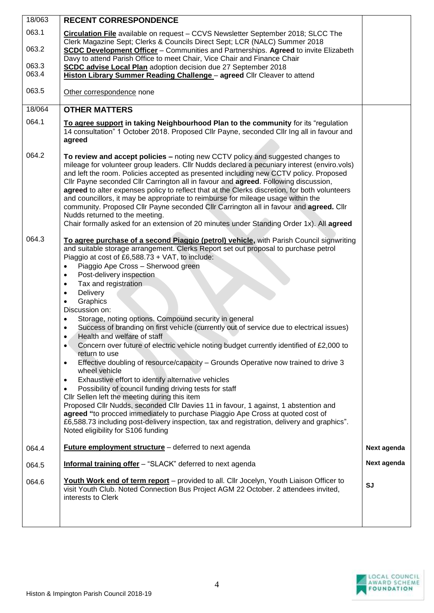| 18/063 | <b>RECENT CORRESPONDENCE</b>                                                                                                                                                                                                                                                                                                                                                                                                                                                                                                                                                                                                                                                                                                                                                |             |
|--------|-----------------------------------------------------------------------------------------------------------------------------------------------------------------------------------------------------------------------------------------------------------------------------------------------------------------------------------------------------------------------------------------------------------------------------------------------------------------------------------------------------------------------------------------------------------------------------------------------------------------------------------------------------------------------------------------------------------------------------------------------------------------------------|-------------|
| 063.1  | Circulation File available on request - CCVS Newsletter September 2018; SLCC The                                                                                                                                                                                                                                                                                                                                                                                                                                                                                                                                                                                                                                                                                            |             |
| 063.2  | Clerk Magazine Sept; Clerks & Councils Direct Sept; LCR (NALC) Summer 2018<br><b>SCDC Development Officer</b> - Communities and Partnerships. Agreed to invite Elizabeth                                                                                                                                                                                                                                                                                                                                                                                                                                                                                                                                                                                                    |             |
| 063.3  | Davy to attend Parish Office to meet Chair, Vice Chair and Finance Chair<br><b>SCDC advise Local Plan</b> adoption decision due 27 September 2018                                                                                                                                                                                                                                                                                                                                                                                                                                                                                                                                                                                                                           |             |
| 063.4  | Histon Library Summer Reading Challenge - agreed Cllr Cleaver to attend                                                                                                                                                                                                                                                                                                                                                                                                                                                                                                                                                                                                                                                                                                     |             |
| 063.5  | Other correspondence none                                                                                                                                                                                                                                                                                                                                                                                                                                                                                                                                                                                                                                                                                                                                                   |             |
| 18/064 | <b>OTHER MATTERS</b>                                                                                                                                                                                                                                                                                                                                                                                                                                                                                                                                                                                                                                                                                                                                                        |             |
| 064.1  | To agree support in taking Neighbourhood Plan to the community for its "regulation<br>14 consultation" 1 October 2018. Proposed Cllr Payne, seconded Cllr Ing all in favour and<br>agreed                                                                                                                                                                                                                                                                                                                                                                                                                                                                                                                                                                                   |             |
| 064.2  | To review and accept policies - noting new CCTV policy and suggested changes to<br>mileage for volunteer group leaders. Cllr Nudds declared a pecuniary interest (enviro.vols)<br>and left the room. Policies accepted as presented including new CCTV policy. Proposed<br>CIIr Payne seconded CIIr Carrington all in favour and agreed. Following discussion,<br>agreed to alter expenses policy to reflect that at the Clerks discretion, for both volunteers<br>and councillors, it may be appropriate to reimburse for mileage usage within the<br>community. Proposed Cllr Payne seconded Cllr Carrington all in favour and agreed. Cllr<br>Nudds returned to the meeting.<br>Chair formally asked for an extension of 20 minutes under Standing Order 1x). All agreed |             |
| 064.3  | To agree purchase of a second Piaggio (petrol) vehicle, with Parish Council signwriting                                                                                                                                                                                                                                                                                                                                                                                                                                                                                                                                                                                                                                                                                     |             |
|        | and suitable storage arrangement. Clerks Report set out proposal to purchase petrol<br>Piaggio at cost of £6,588.73 + VAT, to include:                                                                                                                                                                                                                                                                                                                                                                                                                                                                                                                                                                                                                                      |             |
|        | Piaggio Ape Cross - Sherwood green<br>$\bullet$                                                                                                                                                                                                                                                                                                                                                                                                                                                                                                                                                                                                                                                                                                                             |             |
|        | Post-delivery inspection<br>$\bullet$                                                                                                                                                                                                                                                                                                                                                                                                                                                                                                                                                                                                                                                                                                                                       |             |
|        | Tax and registration<br>$\bullet$<br>Delivery<br>$\bullet$                                                                                                                                                                                                                                                                                                                                                                                                                                                                                                                                                                                                                                                                                                                  |             |
|        | Graphics<br>$\bullet$                                                                                                                                                                                                                                                                                                                                                                                                                                                                                                                                                                                                                                                                                                                                                       |             |
|        | Discussion on:<br>Storage, noting options. Compound security in general<br>$\bullet$                                                                                                                                                                                                                                                                                                                                                                                                                                                                                                                                                                                                                                                                                        |             |
|        | Success of branding on first vehicle (currently out of service due to electrical issues)<br>$\bullet$                                                                                                                                                                                                                                                                                                                                                                                                                                                                                                                                                                                                                                                                       |             |
|        | Health and welfare of staff                                                                                                                                                                                                                                                                                                                                                                                                                                                                                                                                                                                                                                                                                                                                                 |             |
|        | Concern over future of electric vehicle noting budget currently identified of £2,000 to<br>$\bullet$<br>return to use                                                                                                                                                                                                                                                                                                                                                                                                                                                                                                                                                                                                                                                       |             |
|        | Effective doubling of resource/capacity - Grounds Operative now trained to drive 3<br>$\bullet$<br>wheel vehicle                                                                                                                                                                                                                                                                                                                                                                                                                                                                                                                                                                                                                                                            |             |
|        | Exhaustive effort to identify alternative vehicles<br>$\bullet$                                                                                                                                                                                                                                                                                                                                                                                                                                                                                                                                                                                                                                                                                                             |             |
|        | Possibility of council funding driving tests for staff<br>$\bullet$<br>Cllr Sellen left the meeting during this item                                                                                                                                                                                                                                                                                                                                                                                                                                                                                                                                                                                                                                                        |             |
|        | Proposed Cllr Nudds, seconded Cllr Davies 11 in favour, 1 against, 1 abstention and                                                                                                                                                                                                                                                                                                                                                                                                                                                                                                                                                                                                                                                                                         |             |
|        | agreed "to procced immediately to purchase Piaggio Ape Cross at quoted cost of<br>£6,588.73 including post-delivery inspection, tax and registration, delivery and graphics".<br>Noted eligibility for S106 funding                                                                                                                                                                                                                                                                                                                                                                                                                                                                                                                                                         |             |
| 064.4  | <b>Future employment structure</b> – deferred to next agenda                                                                                                                                                                                                                                                                                                                                                                                                                                                                                                                                                                                                                                                                                                                | Next agenda |
| 064.5  | <b>Informal training offer</b> - "SLACK" deferred to next agenda                                                                                                                                                                                                                                                                                                                                                                                                                                                                                                                                                                                                                                                                                                            | Next agenda |
| 064.6  | Youth Work end of term report - provided to all. Cllr Jocelyn, Youth Liaison Officer to<br>visit Youth Club. Noted Connection Bus Project AGM 22 October. 2 attendees invited,<br>interests to Clerk                                                                                                                                                                                                                                                                                                                                                                                                                                                                                                                                                                        | SJ          |
|        |                                                                                                                                                                                                                                                                                                                                                                                                                                                                                                                                                                                                                                                                                                                                                                             |             |